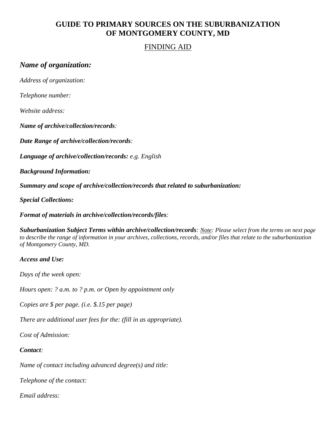## **GUIDE TO PRIMARY SOURCES ON THE SUBURBANIZATION OF MONTGOMERY COUNTY, MD**

### FINDING AID

## *Name of organization:*

*Address of organization:*

*Telephone number:*

*Website address:*

*Name of archive/collection/records:*

*Date Range of archive/collection/records:* 

*Language of archive/collection/records: e.g. English*

*Background Information:*

*Summary and scope of archive/collection/records that related to suburbanization:*

*Special Collections:*

*Format of materials in archive/collection/records/files:*

*Suburbanization Subject Terms within archive/collection/records: Note: Please select from the terms on next page to describe the range of information in your archives, collections, records, and/or files that relate to the suburbanization of Montgomery County, MD.*

#### *Access and Use:*

*Days of the week open:*

*Hours open: ? a.m. to ? p.m. or Open by appointment only*

*Copies are \$ per page. (i.e. \$.15 per page)*

*There are additional user fees for the: (fill in as appropriate).*

*Cost of Admission:*

#### *Contact:*

*Name of contact including advanced degree(s) and title:* 

*Telephone of the contact:*

*Email address:*